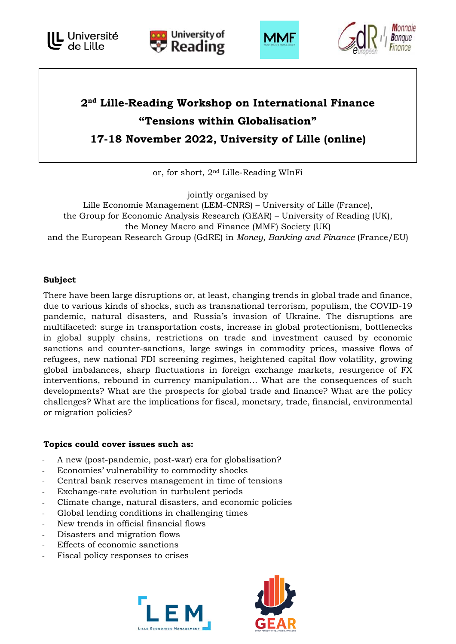





# **2nd Lille-Reading Workshop on International Finance "Tensions within Globalisation" 17-18 November 2022, University of Lille (online)**

or, for short, 2nd Lille-Reading WInFi

jointly organised by Lille Economie Management (LEM-CNRS) – University of Lille (France), the Group for Economic Analysis Research (GEAR) – University of Reading (UK), the Money Macro and Finance (MMF) Society (UK) and the European Research Group (GdRE) in *Money, Banking and Finance* (France/EU)

# **Subject**

There have been large disruptions or, at least, changing trends in global trade and finance, due to various kinds of shocks, such as transnational terrorism, populism, the COVID-19 pandemic, natural disasters, and Russia's invasion of Ukraine. The disruptions are multifaceted: surge in transportation costs, increase in global protectionism, bottlenecks in global supply chains, restrictions on trade and investment caused by economic sanctions and counter-sanctions, large swings in commodity prices, massive flows of refugees, new national FDI screening regimes, heightened capital flow volatility, growing global imbalances, sharp fluctuations in foreign exchange markets, resurgence of FX interventions, rebound in currency manipulation… What are the consequences of such developments? What are the prospects for global trade and finance? What are the policy challenges? What are the implications for fiscal, monetary, trade, financial, environmental or migration policies?

# **Topics could cover issues such as:**

- A new (post-pandemic, post-war) era for globalisation?
- Economies' vulnerability to commodity shocks
- Central bank reserves management in time of tensions
- Exchange-rate evolution in turbulent periods
- Climate change, natural disasters, and economic policies
- Global lending conditions in challenging times
- New trends in official financial flows
- Disasters and migration flows
- Effects of economic sanctions
- Fiscal policy responses to crises